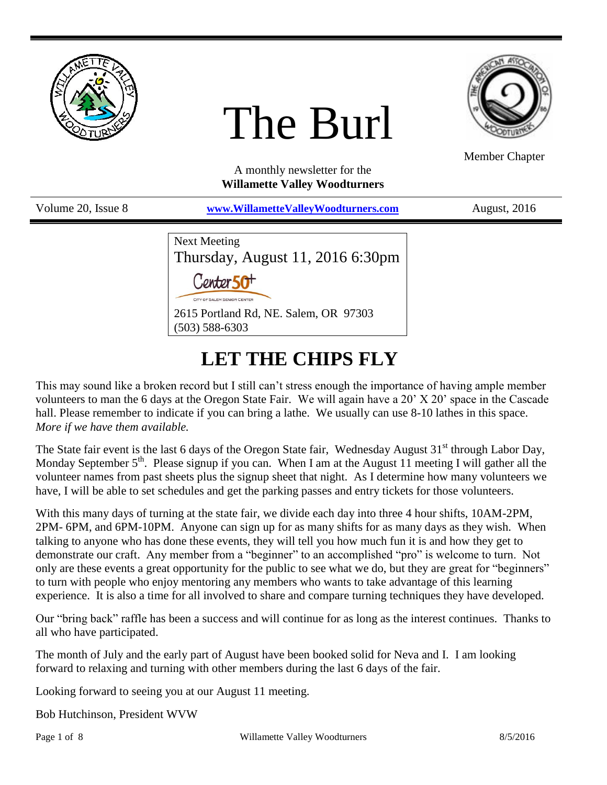

# The Burl



Member Chapter

A monthly newsletter for the **Willamette Valley Woodturners**

Volume 20, Issue 8 **[www.WillametteValleyWoodturners.com](http://www.willamettevalleywoodturners.com/)** August, 2016

| <b>Next Meeting</b>                   |
|---------------------------------------|
| Thursday, August $11, 2016$ 6:30pm    |
| Center 50 <sup>+</sup>                |
| CITY OF SALEM SENIOR CENTER           |
| 2615 Portland Rd, NE. Salem, OR 97303 |
| $(503) 588 - 6303$                    |

# **LET THE CHIPS FLY**

This may sound like a broken record but I still can't stress enough the importance of having ample member volunteers to man the 6 days at the Oregon State Fair. We will again have a 20' X 20' space in the Cascade hall. Please remember to indicate if you can bring a lathe. We usually can use 8-10 lathes in this space. *More if we have them available.*

The State fair event is the last 6 days of the Oregon State fair, Wednesday August 31<sup>st</sup> through Labor Day, Monday September  $5<sup>th</sup>$ . Please signup if you can. When I am at the August 11 meeting I will gather all the volunteer names from past sheets plus the signup sheet that night. As I determine how many volunteers we have, I will be able to set schedules and get the parking passes and entry tickets for those volunteers.

With this many days of turning at the state fair, we divide each day into three 4 hour shifts, 10AM-2PM, 2PM- 6PM, and 6PM-10PM. Anyone can sign up for as many shifts for as many days as they wish. When talking to anyone who has done these events, they will tell you how much fun it is and how they get to demonstrate our craft. Any member from a "beginner" to an accomplished "pro" is welcome to turn. Not only are these events a great opportunity for the public to see what we do, but they are great for "beginners" to turn with people who enjoy mentoring any members who wants to take advantage of this learning experience. It is also a time for all involved to share and compare turning techniques they have developed.

Our "bring back" raffle has been a success and will continue for as long as the interest continues. Thanks to all who have participated.

The month of July and the early part of August have been booked solid for Neva and I. I am looking forward to relaxing and turning with other members during the last 6 days of the fair.

Looking forward to seeing you at our August 11 meeting.

Bob Hutchinson, President WVW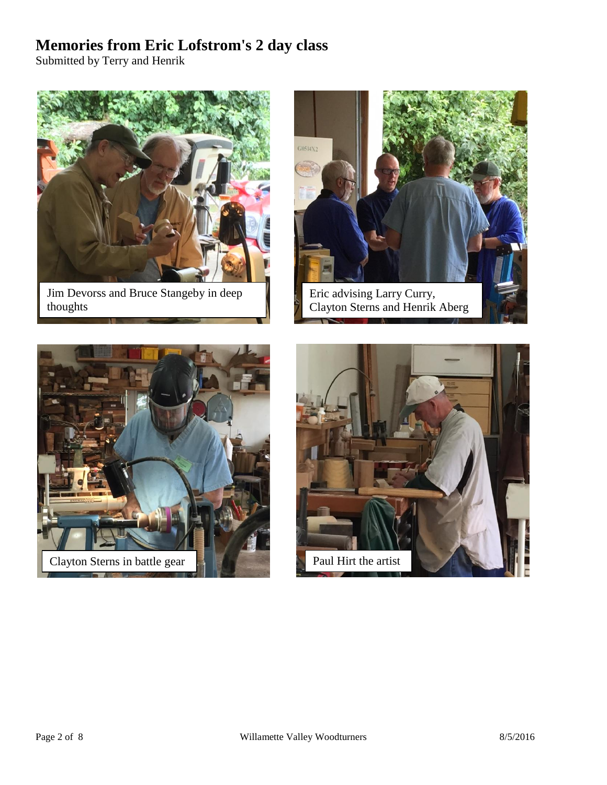### **Memories from Eric Lofstrom's 2 day class**

Submitted by Terry and Henrik



Jim Devorss and Bruce Stangeby in deep thoughts





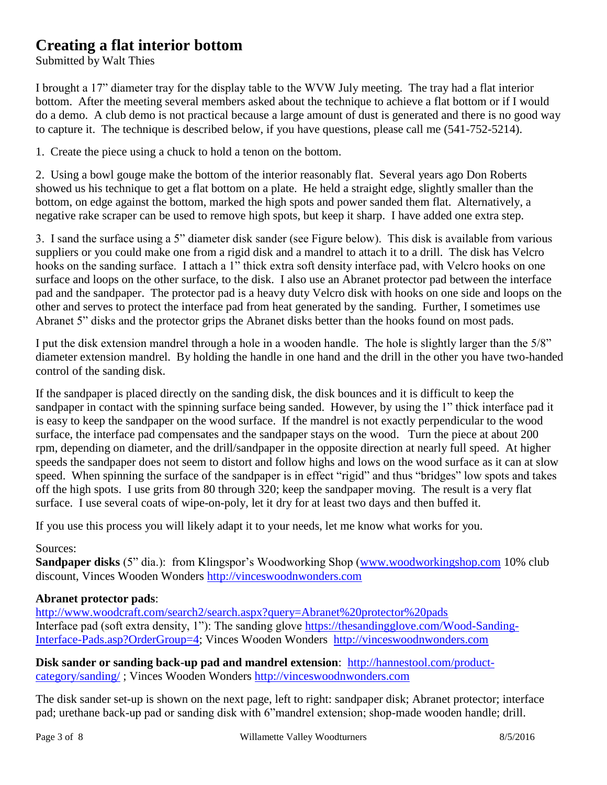### **Creating a flat interior bottom**

Submitted by Walt Thies

I brought a 17" diameter tray for the display table to the WVW July meeting. The tray had a flat interior bottom. After the meeting several members asked about the technique to achieve a flat bottom or if I would do a demo. A club demo is not practical because a large amount of dust is generated and there is no good way to capture it. The technique is described below, if you have questions, please call me (541-752-5214).

1. Create the piece using a chuck to hold a tenon on the bottom.

2. Using a bowl gouge make the bottom of the interior reasonably flat. Several years ago Don Roberts showed us his technique to get a flat bottom on a plate. He held a straight edge, slightly smaller than the bottom, on edge against the bottom, marked the high spots and power sanded them flat. Alternatively, a negative rake scraper can be used to remove high spots, but keep it sharp. I have added one extra step.

3. I sand the surface using a 5" diameter disk sander (see Figure below). This disk is available from various suppliers or you could make one from a rigid disk and a mandrel to attach it to a drill. The disk has Velcro hooks on the sanding surface. I attach a 1" thick extra soft density interface pad, with Velcro hooks on one surface and loops on the other surface, to the disk. I also use an Abranet protector pad between the interface pad and the sandpaper. The protector pad is a heavy duty Velcro disk with hooks on one side and loops on the other and serves to protect the interface pad from heat generated by the sanding. Further, I sometimes use Abranet 5" disks and the protector grips the Abranet disks better than the hooks found on most pads.

I put the disk extension mandrel through a hole in a wooden handle. The hole is slightly larger than the 5/8" diameter extension mandrel. By holding the handle in one hand and the drill in the other you have two-handed control of the sanding disk.

If the sandpaper is placed directly on the sanding disk, the disk bounces and it is difficult to keep the sandpaper in contact with the spinning surface being sanded. However, by using the 1" thick interface pad it is easy to keep the sandpaper on the wood surface. If the mandrel is not exactly perpendicular to the wood surface, the interface pad compensates and the sandpaper stays on the wood. Turn the piece at about 200 rpm, depending on diameter, and the drill/sandpaper in the opposite direction at nearly full speed. At higher speeds the sandpaper does not seem to distort and follow highs and lows on the wood surface as it can at slow speed. When spinning the surface of the sandpaper is in effect "rigid" and thus "bridges" low spots and takes off the high spots. I use grits from 80 through 320; keep the sandpaper moving. The result is a very flat surface. I use several coats of wipe-on-poly, let it dry for at least two days and then buffed it.

If you use this process you will likely adapt it to your needs, let me know what works for you.

### Sources:

**Sandpaper disks** (5" dia.): from Klingspor's Woodworking Shop [\(www.woodworkingshop.com](http://www.woodworkingshop.com/) 10% club discount, Vinces Wooden Wonders [http://vinceswoodnwonders.com](http://vinceswoodnwonders.com/)

### **Abranet protector pads**:

<http://www.woodcraft.com/search2/search.aspx?query=Abranet%20protector%20pads> Interface pad (soft extra density, 1"): The sanding glove [https://thesandingglove.com/Wood-Sanding-](https://thesandingglove.com/Wood-Sanding-Interface-Pads.asp?OrderGroup=4)[Interface-Pads.asp?OrderGroup=4;](https://thesandingglove.com/Wood-Sanding-Interface-Pads.asp?OrderGroup=4) Vinces Wooden Wonders [http://vinceswoodnwonders.com](http://vinceswoodnwonders.com/)

**Disk sander or sanding back-up pad and mandrel extension**: [http://hannestool.com/product](http://hannestool.com/product-category/sanding/)[category/sanding/](http://hannestool.com/product-category/sanding/) ; Vinces Wooden Wonders [http://vinceswoodnwonders.com](http://vinceswoodnwonders.com/)

The disk sander set-up is shown on the next page, left to right: sandpaper disk; Abranet protector; interface pad; urethane back-up pad or sanding disk with 6"mandrel extension; shop-made wooden handle; drill.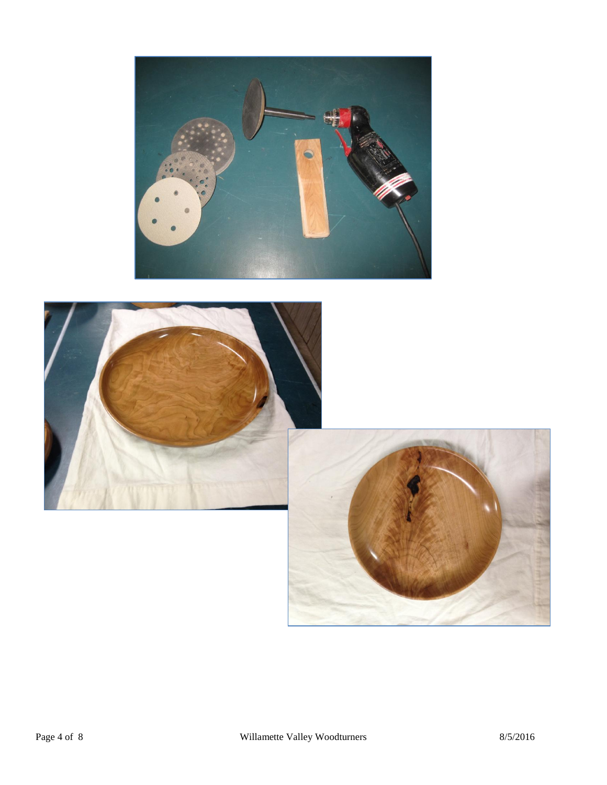

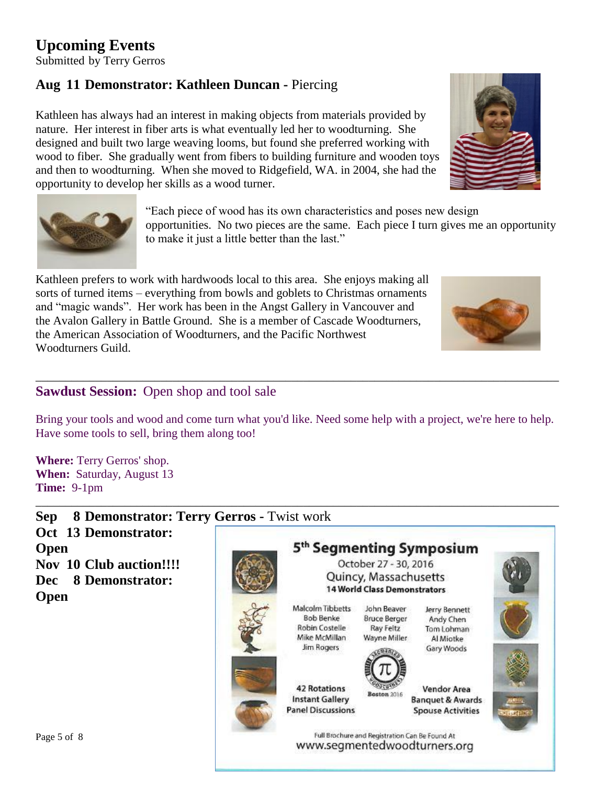## **Upcoming Events**

Submitted by Terry Gerros

### **Aug 11 Demonstrator: Kathleen Duncan -** Piercing

Kathleen has always had an interest in making objects from materials provided by nature. Her interest in fiber arts is what eventually led her to woodturning. She designed and built two large weaving looms, but found she preferred working with wood to fiber. She gradually went from fibers to building furniture and wooden toys and then to woodturning. When she moved to Ridgefield, WA. in 2004, she had the opportunity to develop her skills as a wood turner.

> "Each piece of wood has its own characteristics and poses new design opportunities. No two pieces are the same. Each piece I turn gives me an opportunity to make it just a little better than the last."

Kathleen prefers to work with hardwoods local to this area. She enjoys making all sorts of turned items – everything from bowls and goblets to Christmas ornaments and "magic wands". Her work has been in the Angst Gallery in Vancouver and the Avalon Gallery in Battle Ground. She is a member of Cascade Woodturners, the American Association of Woodturners, and the Pacific Northwest Woodturners Guild.

### **Sawdust Session:** Open shop and tool sale

Bring your tools and wood and come turn what you'd like. Need some help with a project, we're here to help. Have some tools to sell, bring them along too!

\_\_\_\_\_\_\_\_\_\_\_\_\_\_\_\_\_\_\_\_\_\_\_\_\_\_\_\_\_\_\_\_\_\_\_\_\_\_\_\_\_\_\_\_\_\_\_\_\_\_\_\_\_\_\_\_\_\_\_\_\_\_\_\_\_\_\_\_\_\_\_\_\_\_\_\_\_\_\_\_\_\_\_\_\_\_\_\_

**Where:** Terry Gerros' shop. **When:** Saturday, August 13 **Time:** 9-1pm

### \_\_\_\_\_\_\_\_\_\_\_\_\_\_\_\_\_\_\_\_\_\_\_\_\_\_\_\_\_\_\_\_\_\_\_\_\_\_\_\_\_\_\_\_\_\_\_\_\_\_\_\_\_\_\_\_\_\_\_\_\_\_\_\_\_\_\_\_\_\_\_\_\_\_\_\_\_\_\_\_\_\_\_\_\_\_\_\_ **Sep 8 Demonstrator: Terry Gerros -** Twist work

**Oct 13 Demonstrator: Open Nov 10 Club auction!!!! Dec 8 Demonstrator: Open**







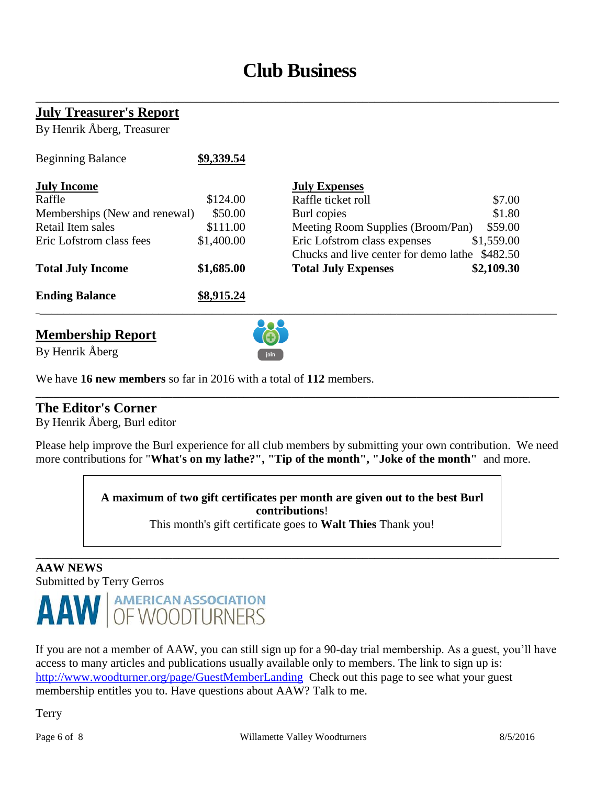# **Club Business**

\_\_\_\_\_\_\_\_\_\_\_\_\_\_\_\_\_\_\_\_\_\_\_\_\_\_\_\_\_\_\_\_\_\_\_\_\_\_\_\_\_\_\_\_\_\_\_\_\_\_\_\_\_\_\_\_\_\_\_\_\_\_\_\_\_\_\_\_\_\_\_\_\_\_\_\_\_\_\_\_\_\_\_\_\_\_\_\_

### **July Treasurer's Report**

By Henrik Åberg, Treasurer

| <b>Membership Report</b>      |            |                                                                                               |
|-------------------------------|------------|-----------------------------------------------------------------------------------------------|
| <b>Ending Balance</b>         | \$8,915.24 |                                                                                               |
| <b>Total July Income</b>      | \$1,685.00 | Chucks and live center for demo lathe<br>\$482.50<br>\$2,109.30<br><b>Total July Expenses</b> |
| Eric Lofstrom class fees      | \$1,400.00 | \$1,559.00<br>Eric Lofstrom class expenses                                                    |
| Retail Item sales             | \$111.00   | \$59.00<br>Meeting Room Supplies (Broom/Pan)                                                  |
| Memberships (New and renewal) | \$50.00    | \$1.80<br>Burl copies                                                                         |
| Raffle                        | \$124.00   | Raffle ticket roll<br>\$7.00                                                                  |
| <b>July Income</b>            |            | <b>July Expenses</b>                                                                          |
| <b>Beginning Balance</b>      | \$9,339.54 |                                                                                               |

By Henrik Åberg



We have **16 new members** so far in 2016 with a total of **112** members.

### **The Editor's Corner**

By Henrik Åberg, Burl editor

Please help improve the Burl experience for all club members by submitting your own contribution. We need more contributions for "**What's on my lathe?", "Tip of the month", "Joke of the month"** and more.

\_\_\_\_\_\_\_\_\_\_\_\_\_\_\_\_\_\_\_\_\_\_\_\_\_\_\_\_\_\_\_\_\_\_\_\_\_\_\_\_\_\_\_\_\_\_\_\_\_\_\_\_\_\_\_\_\_\_\_\_\_\_\_\_\_\_\_\_\_\_\_\_\_\_\_\_\_\_\_\_\_\_\_\_\_\_\_\_

**A maximum of two gift certificates per month are given out to the best Burl contributions**!

This month's gift certificate goes to **Walt Thies** Thank you!

### \_\_\_\_\_\_\_\_\_\_\_\_\_\_\_\_\_\_\_\_\_\_\_\_\_\_\_\_\_\_\_\_\_\_\_\_\_\_\_\_\_\_\_\_\_\_\_\_\_\_\_\_\_\_\_\_\_\_\_\_\_\_\_\_\_\_\_\_\_\_\_\_\_\_\_\_\_\_\_\_\_\_\_\_\_\_\_\_ **AAW NEWS** Submitted by Terry Gerros



If you are not a member of AAW, you can still sign up for a 90-day trial membership. As a guest, you'll have access to many articles and publications usually available only to members. The link to sign up is: <http://www.woodturner.org/page/GuestMemberLanding>Check out this page to see what your guest membership entitles you to. Have questions about AAW? Talk to me.

Terry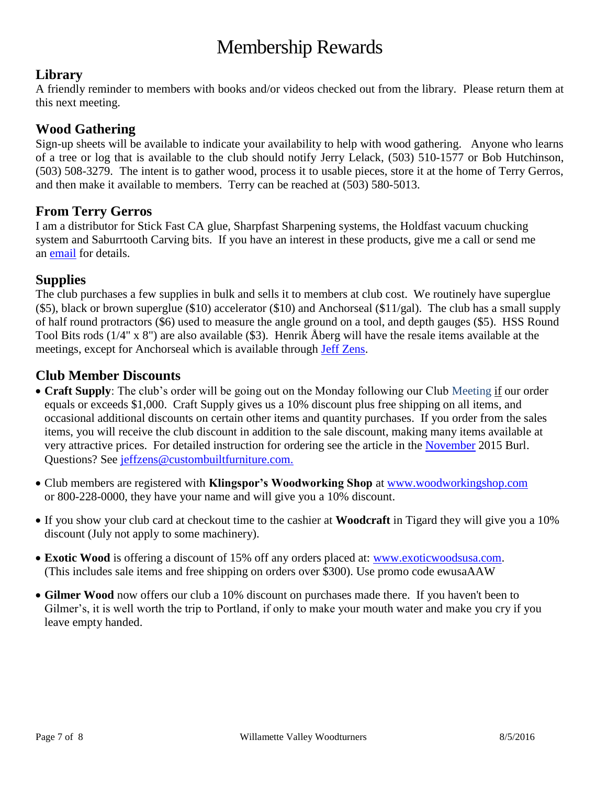# Membership Rewards

### **Library**

A friendly reminder to members with books and/or videos checked out from the library. Please return them at this next meeting.

### **Wood Gathering**

Sign-up sheets will be available to indicate your availability to help with wood gathering. Anyone who learns of a tree or log that is available to the club should notify Jerry Lelack, (503) 510-1577 or Bob Hutchinson, (503) 508-3279. The intent is to gather wood, process it to usable pieces, store it at the home of Terry Gerros, and then make it available to members. Terry can be reached at (503) 580-5013.

### **From Terry Gerros**

I am a distributor for Stick Fast CA glue, Sharpfast Sharpening systems, the Holdfast vacuum chucking system and Saburrtooth Carving bits. If you have an interest in these products, give me a call or send me an [email](mailto:gerrost@yahoo.com) for details.

### **Supplies**

The club purchases a few supplies in bulk and sells it to members at club cost. We routinely have superglue (\$5), black or brown superglue (\$10) accelerator (\$10) and Anchorseal (\$11/gal). The club has a small supply of half round protractors (\$6) used to measure the angle ground on a tool, and depth gauges (\$5). HSS Round Tool Bits rods (1/4" x 8") are also available (\$3). Henrik Åberg will have the resale items available at the meetings, except for Anchorseal which is available through [Jeff Zens.](mailto:jszens@custombuiltfurniture.com)

### **Club Member Discounts**

- **Craft Supply**: The club's order will be going out on the Monday following our Club Meeting if our order equals or exceeds \$1,000. Craft Supply gives us a 10% discount plus free shipping on all items, and occasional additional discounts on certain other items and quantity purchases. If you order from the sales items, you will receive the club discount in addition to the sale discount, making many items available at very attractive prices. For detailed instruction for ordering see the article in the [November](http://www.willamettevalleywoodturners.com/newsletters/2015_11_WVW_Newsletter.pdf) 2015 Burl. Questions? See [jeffzens@custombuiltfurniture.com.](mailto:jeffzens@custombuiltfurniture.com.)
- Club members are registered with **Klingspor's Woodworking Shop** at [www.woodworkingshop.com](http://www.woodworkingshop.com/)  or 800-228-0000, they have your name and will give you a 10% discount.
- If you show your club card at checkout time to the cashier at **Woodcraft** in Tigard they will give you a 10% discount (July not apply to some machinery).
- **Exotic Wood** is offering a discount of 15% off any orders placed at: [www.exoticwoodsusa.com.](http://www.exoticwoodsusa.com/) (This includes sale items and free shipping on orders over \$300). Use promo code ewusaAAW
- **Gilmer Wood** now offers our club a 10% discount on purchases made there. If you haven't been to Gilmer's, it is well worth the trip to Portland, if only to make your mouth water and make you cry if you leave empty handed.